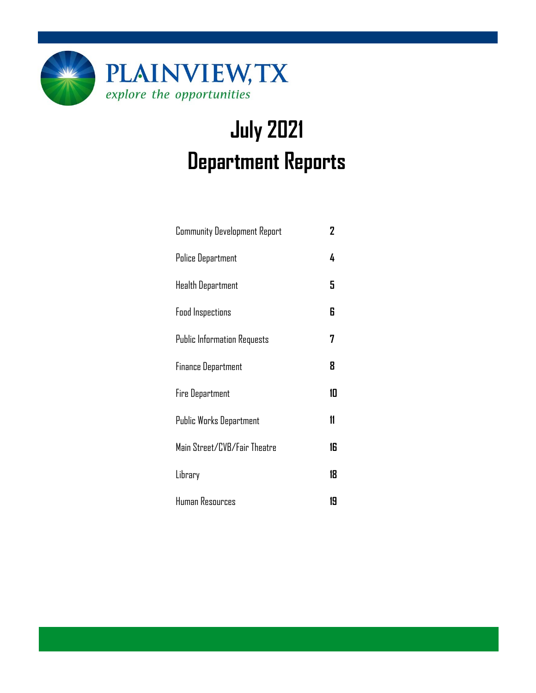

# **July 2021 Department Reports**

| <b>Community Development Report</b> | 2  |
|-------------------------------------|----|
| Police Department                   | 4  |
| <b>Health Department</b>            | 5  |
| <b>Food Inspections</b>             | 6  |
| <b>Public Information Requests</b>  | 7  |
| <b>Finance Department</b>           | 8  |
| Fire Department                     | 10 |
| Public Works Department             | 11 |
| Main Street/CVB/Fair Theatre        | 16 |
| Library                             | 18 |
| Human Resources                     | 19 |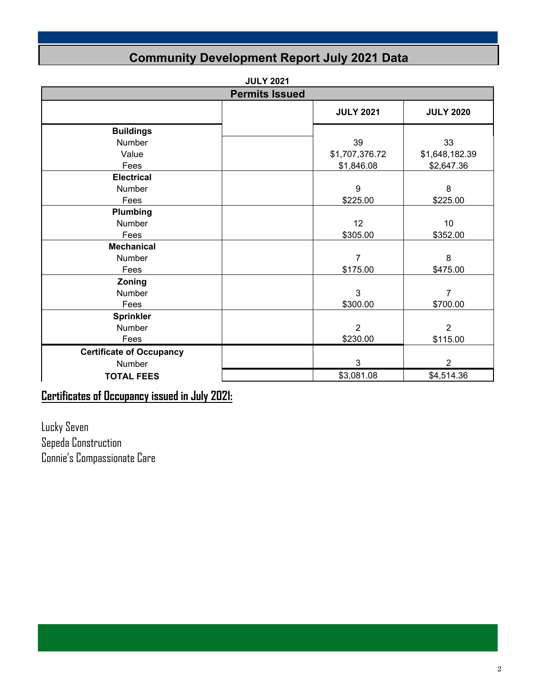### **Community Development Report July 2021 Data**

|                                 | <b>Permits Issued</b> |                  |                  |  |  |  |  |
|---------------------------------|-----------------------|------------------|------------------|--|--|--|--|
|                                 |                       | <b>JULY 2021</b> | <b>JULY 2020</b> |  |  |  |  |
| <b>Buildings</b>                |                       |                  |                  |  |  |  |  |
| Number                          |                       | 39               | 33               |  |  |  |  |
| Value                           |                       | \$1,707,376.72   | \$1,648,182.39   |  |  |  |  |
| Fees                            |                       | \$1,846.08       | \$2,647.36       |  |  |  |  |
| <b>Electrical</b>               |                       |                  |                  |  |  |  |  |
| Number                          |                       | 9                | 8                |  |  |  |  |
| Fees                            |                       | \$225.00         | \$225.00         |  |  |  |  |
| Plumbing                        |                       |                  |                  |  |  |  |  |
| Number                          |                       | 12               | 10               |  |  |  |  |
| Fees                            |                       | \$305.00         | \$352.00         |  |  |  |  |
| <b>Mechanical</b>               |                       |                  |                  |  |  |  |  |
| Number                          |                       | 7                | 8                |  |  |  |  |
| Fees                            |                       | \$175.00         | \$475.00         |  |  |  |  |
| Zoning                          |                       |                  |                  |  |  |  |  |
| <b>Number</b>                   |                       | 3                | $\overline{7}$   |  |  |  |  |
| Fees                            |                       | \$300.00         | \$700.00         |  |  |  |  |
| <b>Sprinkler</b>                |                       |                  |                  |  |  |  |  |
| Number                          |                       | $\overline{2}$   | $\overline{2}$   |  |  |  |  |
| Fees                            |                       | \$230.00         | \$115.00         |  |  |  |  |
| <b>Certificate of Occupancy</b> |                       |                  |                  |  |  |  |  |
| Number                          |                       | $\mathbf{3}$     | $\overline{2}$   |  |  |  |  |
| <b>TOTAL FEES</b>               |                       | \$3,081.08       | \$4,514.36       |  |  |  |  |

### **Certificates of Occupancy issued in July 2021:**

Lucky Seven Sepeda Construction Connie's Compassionate Care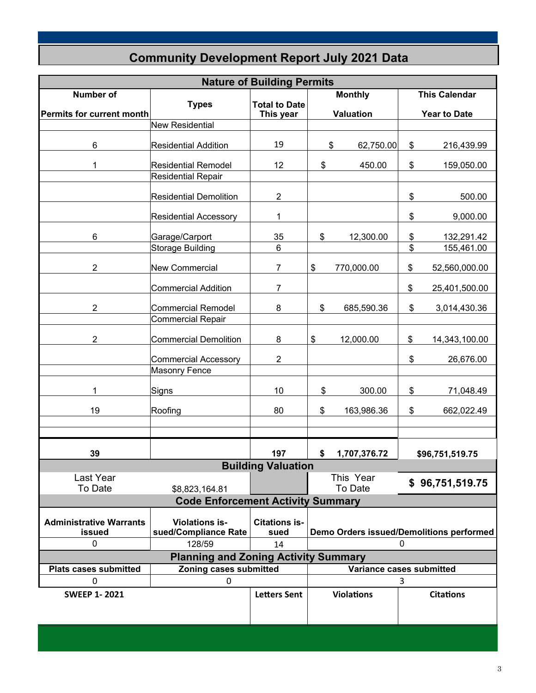|                                  |                                             | <b>Nature of Building Permits</b> |                |                          |    |                                          |
|----------------------------------|---------------------------------------------|-----------------------------------|----------------|--------------------------|----|------------------------------------------|
| <b>Number of</b>                 |                                             |                                   | <b>Monthly</b> |                          |    | <b>This Calendar</b>                     |
|                                  | <b>Types</b>                                | <b>Total to Date</b>              |                |                          |    |                                          |
| <b>Permits for current month</b> |                                             | This year                         |                | <b>Valuation</b>         |    | <b>Year to Date</b>                      |
|                                  | <b>New Residential</b>                      |                                   |                |                          |    |                                          |
|                                  |                                             |                                   |                |                          |    |                                          |
| 6                                | <b>Residential Addition</b>                 | 19                                |                | \$<br>62,750.00          | \$ | 216,439.99                               |
| 1                                | <b>Residential Remodel</b>                  | 12                                | \$             | 450.00                   | \$ | 159,050.00                               |
|                                  | <b>Residential Repair</b>                   |                                   |                |                          |    |                                          |
|                                  |                                             |                                   |                |                          |    |                                          |
|                                  | <b>Residential Demolition</b>               | $\overline{2}$                    |                |                          | \$ | 500.00                                   |
|                                  |                                             |                                   |                |                          |    |                                          |
|                                  | <b>Residential Accessory</b>                | 1                                 |                |                          | \$ | 9,000.00                                 |
|                                  |                                             |                                   |                |                          |    |                                          |
| 6                                | Garage/Carport                              | 35                                | \$             | 12,300.00                | \$ | 132,291.42                               |
|                                  | <b>Storage Building</b>                     | 6                                 |                |                          | \$ | 155,461.00                               |
|                                  |                                             |                                   |                |                          |    |                                          |
| $\overline{2}$                   | <b>New Commercial</b>                       | 7                                 | \$             | 770,000.00               | \$ | 52,560,000.00                            |
|                                  |                                             |                                   |                |                          |    |                                          |
|                                  | <b>Commercial Addition</b>                  | 7                                 |                |                          | \$ | 25,401,500.00                            |
| $\overline{2}$                   | <b>Commercial Remodel</b>                   | 8                                 | \$             | 685,590.36               | \$ | 3,014,430.36                             |
|                                  | <b>Commercial Repair</b>                    |                                   |                |                          |    |                                          |
|                                  |                                             |                                   |                |                          |    |                                          |
| 2                                | <b>Commercial Demolition</b>                | 8                                 | \$             | 12,000.00                | \$ | 14,343,100.00                            |
|                                  |                                             |                                   |                |                          |    |                                          |
|                                  | <b>Commercial Accessory</b>                 | $\overline{2}$                    |                |                          | \$ | 26,676.00                                |
|                                  | <b>Masonry Fence</b>                        |                                   |                |                          |    |                                          |
|                                  |                                             |                                   |                |                          |    |                                          |
| 1                                | <b>Signs</b>                                | 10                                | \$             | 300.00                   | \$ | 71,048.49                                |
|                                  |                                             |                                   |                |                          |    |                                          |
| 19                               | Roofing                                     | 80                                | \$             | 163,986.36               | \$ | 662,022.49                               |
|                                  |                                             |                                   |                |                          |    |                                          |
|                                  |                                             |                                   |                |                          |    |                                          |
|                                  |                                             |                                   |                |                          |    |                                          |
| 39                               |                                             | 197                               | \$             | 1,707,376.72             |    | \$96,751,519.75                          |
|                                  |                                             | <b>Building Valuation</b>         |                |                          |    |                                          |
| Last Year                        |                                             |                                   |                | This Year                |    | \$96,751,519.75                          |
| To Date                          | \$8,823,164.81                              |                                   |                | To Date                  |    |                                          |
|                                  | <b>Code Enforcement Activity Summary</b>    |                                   |                |                          |    |                                          |
|                                  |                                             |                                   |                |                          |    |                                          |
| <b>Administrative Warrants</b>   | <b>Violations is-</b>                       | <b>Citations is-</b>              |                |                          |    |                                          |
| issued                           | sued/Compliance Rate                        | sued                              |                |                          |    | Demo Orders issued/Demolitions performed |
| $\pmb{0}$                        | 128/59                                      | 14                                | 0              |                          |    |                                          |
|                                  | <b>Planning and Zoning Activity Summary</b> |                                   |                |                          |    |                                          |
| <b>Plats cases submitted</b>     | Zoning cases submitted                      |                                   |                | Variance cases submitted |    |                                          |
| 0                                | 0                                           |                                   |                |                          | 3  |                                          |
| <b>SWEEP 1-2021</b>              |                                             | <b>Letters Sent</b>               |                | <b>Violations</b>        |    | <b>Citations</b>                         |
|                                  |                                             |                                   |                |                          |    |                                          |
|                                  |                                             |                                   |                |                          |    |                                          |
|                                  |                                             |                                   |                |                          |    |                                          |

### **Community Development Report July 2021 Data**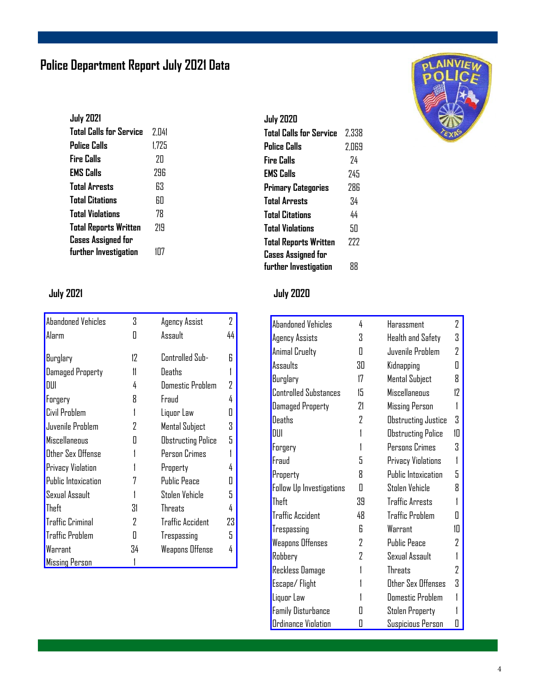### **Police Department Report July 2021 Data**

| <b>July 2021</b>               |       |
|--------------------------------|-------|
| <b>Total Calls for Service</b> | 2.041 |
| <b>Police Calls</b>            | 1.725 |
| <b>Fire Calls</b>              | 7Π    |
| <b>EMS Calls</b>               | 79R   |
| <b>Total Arrests</b>           | 63    |
| <b>Total Citations</b>         | RП    |
| <b>Total Violations</b>        | 78    |
| <b>Total Reports Written</b>   | 719   |
| <b>Cases Assigned for</b>      |       |
| further Investigation          | 1П7   |

| <b>Abandoned Vehicles</b> | 3  | Agency Assist             | 2  |
|---------------------------|----|---------------------------|----|
| Alarm                     | Ш  | Assault                   | 44 |
|                           |    |                           |    |
| Burglary                  | 12 | Controlled Sub-           | R  |
| <b>Damaged Property</b>   | 11 | Deaths                    |    |
| DUI                       | 4  | <b>Domestic Problem</b>   |    |
| Forgery                   | R  | Fraud                     |    |
| Civil Problem             |    | Liquor Law                |    |
| Juvenile Problem          | 7  | <b>Mental Subject</b>     | 3  |
| Miscellaneous             | П  | <b>Obstructing Police</b> | 5  |
| Other Sex Offense         |    | Person Crimes             |    |
| Privacy Violation         |    | Property                  |    |
| Public Intoxication       |    | <b>Public Peace</b>       |    |
| Sexual Assault            |    | Stolen Vehicle            | 5. |
| Theft                     | 31 | <b>Threats</b>            |    |
| <b>Traffic Criminal</b>   | 2  | <b>Traffic Accident</b>   | 23 |
| <b>Traffic Problem</b>    | П  | Trespassing               | 5  |
| Warrant                   | 34 | <b>Weapons Offense</b>    | 4  |
| <b>Missing Person</b>     |    |                           |    |

#### **July 2020**

| 2.338 |
|-------|
| 2.069 |
| 74    |
| 745   |
| 286   |
| 34    |
| 44    |
| SП    |
| 777   |
| 88    |
|       |

### **July 2021 July 2020**

| Abandoned Vehicles           | 4  | Harassment                 | 2  |
|------------------------------|----|----------------------------|----|
| Agency Assists               | 3  | Health and Safety          | 3  |
| Animal Cruelty               | Π  | Juvenile Problem           | 7  |
| Assaults                     | 30 | Kidnapping                 | Π  |
| Burglary                     | 17 | Mental Subject             | 8  |
| <b>Controlled Substances</b> | 15 | <b>Miscellaneous</b>       | 17 |
| <b>Damaged Property</b>      | 21 | <b>Missing Person</b>      | 1  |
| <b>Deaths</b>                | 2  | <b>Obstructing Justice</b> | Χ  |
| DUI                          | 1  | <b>Obstructing Police</b>  | 10 |
| Forgery                      |    | Persons Crimes             | 3  |
| Fraud                        | 5  | Privacy Violations         |    |
| Property                     | 8  | Public Intoxication        | 5  |
| Follow Up Investigations     | Π  | Stolen Vehicle             | 8  |
| Theft                        | 39 | <b>Traffic Arrests</b>     |    |
| <b>Traffic Accident</b>      | 48 | <b>Traffic Problem</b>     | П  |
| Trespassing                  | R  | Warrant                    | 1П |
| <b>Weapons Offenses</b>      | 2  | <b>Public Peace</b>        | 2  |
| Robbery                      | 2  | Sexual Assault             |    |
| <b>Reckless Damage</b>       |    | Threats                    | 7  |
| Escape/Flight                |    | Other Sex Offenses         | 3  |
| Liquor Law                   |    | <b>Domestic Problem</b>    |    |
| <b>Family Disturbance</b>    | П  | Stolen Property            |    |
| <b>Ordinance Violation</b>   | П  | Suspicious Person          | П  |

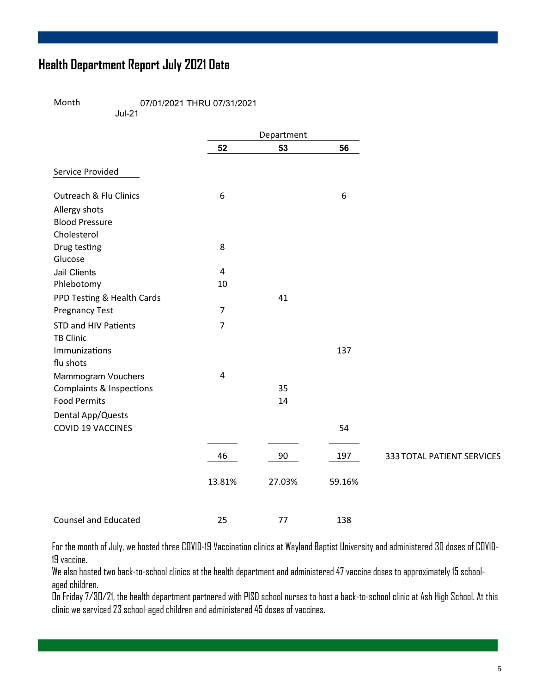### **Health Department Report July 2021 Data**

Month 07/01/2021 THRU 07/31/2021

Jul-21

|                                   |                         | Department |                  |                            |
|-----------------------------------|-------------------------|------------|------------------|----------------------------|
|                                   | 52                      | 53         | 56               |                            |
| Service Provided                  |                         |            |                  |                            |
| <b>Outreach &amp; Flu Clinics</b> | 6                       |            | $\boldsymbol{6}$ |                            |
| Allergy shots                     |                         |            |                  |                            |
| <b>Blood Pressure</b>             |                         |            |                  |                            |
| Cholesterol                       |                         |            |                  |                            |
| Drug testing                      | 8                       |            |                  |                            |
| Glucose                           |                         |            |                  |                            |
| <b>Jail Clients</b>               | 4                       |            |                  |                            |
| Phlebotomy                        | 10                      |            |                  |                            |
| PPD Testing & Health Cards        |                         | 41         |                  |                            |
| <b>Pregnancy Test</b>             | $\overline{7}$          |            |                  |                            |
| <b>STD and HIV Patients</b>       | $\overline{7}$          |            |                  |                            |
| <b>TB Clinic</b>                  |                         |            |                  |                            |
| Immunizations                     |                         |            | 137              |                            |
| flu shots                         |                         |            |                  |                            |
| Mammogram Vouchers                | $\overline{\mathbf{4}}$ |            |                  |                            |
| Complaints & Inspections          |                         | 35         |                  |                            |
| <b>Food Permits</b>               |                         | 14         |                  |                            |
| Dental App/Quests                 |                         |            |                  |                            |
| <b>COVID 19 VACCINES</b>          |                         |            | 54               |                            |
|                                   | 46                      | 90         | 197              | 333 TOTAL PATIENT SERVICES |
|                                   |                         |            |                  |                            |
|                                   | 13.81%                  | 27.03%     | 59.16%           |                            |
| <b>Counsel and Educated</b>       | 25                      | 77         | 138              |                            |

For the month of July, we hosted three COVID-19 Vaccination clinics at Wayland Baptist University and administered 30 doses of COVID-19 vaccine.

We also hosted two back-to-school clinics at the health department and administered 47 vaccine doses to approximately 15 schoolaged children.

On Friday 7/30/21, the health department partnered with PISD school nurses to host a back-to-school clinic at Ash High School. At this clinic we serviced 23 school-aged children and administered 45 doses of vaccines.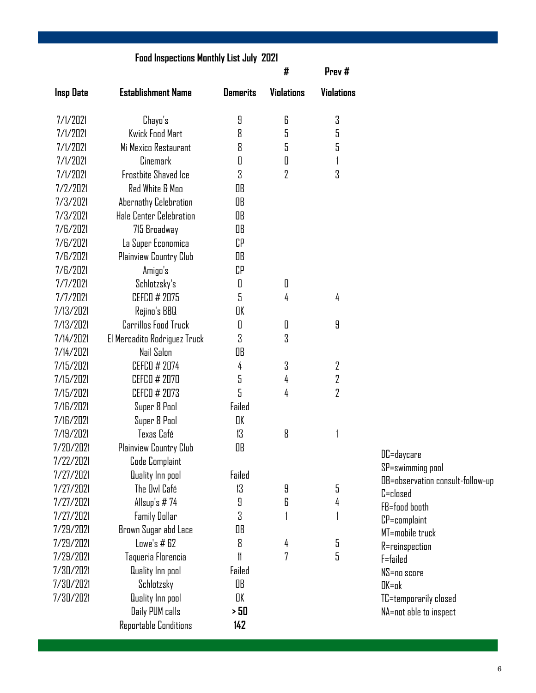|                  | <b>Food Inspections Monthly List July 2021</b> |                 |                   |                |                                                      |
|------------------|------------------------------------------------|-----------------|-------------------|----------------|------------------------------------------------------|
|                  |                                                |                 | #                 | Prev#          |                                                      |
| <b>Insp Date</b> | <b>Establishment Name</b>                      | <b>Demerits</b> | <b>Violations</b> | Violations     |                                                      |
| 7/1/2021         | Chayo's                                        | 9               | 6                 | 3              |                                                      |
| 7/1/2021         | Kwick Food Mart                                | 8               | 5                 | 5              |                                                      |
| 7/1/2021         | Mi Mexico Restaurant                           | 8               | 5                 | 5              |                                                      |
| 7/1/2021         | Cinemark                                       | 0               | 0                 | 1              |                                                      |
| 7/1/2021         | <b>Frostbite Shaved Ice</b>                    | 3               | 2                 | 3              |                                                      |
| 7/2/2021         | <b>Red White &amp; Moo</b>                     | OB              |                   |                |                                                      |
| 7/3/2021         | Abernathy Celebration                          | OB              |                   |                |                                                      |
| 7/3/2021         | Hale Center Celebration                        | OB              |                   |                |                                                      |
| 7/6/2021         | 715 Broadway                                   | OB              |                   |                |                                                      |
| 7/6/2021         | La Super Economica                             | СP              |                   |                |                                                      |
| 7/6/2021         | Plainview Country Club                         | OB              |                   |                |                                                      |
| 7/6/2021         | Amigo's                                        | CP              |                   |                |                                                      |
| 7/7/2021         | Schlotzsky's                                   | 0               | 0                 |                |                                                      |
| 7/7/2021         | CEFCO # 2075                                   | 5               | 4                 | 4              |                                                      |
| 7/13/2021        | Rejino's BBQ                                   | OK              |                   |                |                                                      |
| 7/13/2021        | <b>Carrillos Food Truck</b>                    | 0               | 0                 | 9              |                                                      |
| 7/14/2021        | El Mercadito Rodriguez Truck                   | 3               | 3                 |                |                                                      |
| 7/14/2021        | Nail Salon                                     | OB              |                   |                |                                                      |
| 7/15/2021        | CEFCO # 2074                                   | 4               | 3                 | 2              |                                                      |
| 7/15/2021        | CEFCO # 2070                                   | 5               | 4                 | 2              |                                                      |
| 7/15/2021        | CEFCO # 2073                                   | 5               | 4                 | $\overline{2}$ |                                                      |
| 7/16/2021        | Super 8 Pool                                   | Failed          |                   |                |                                                      |
| 7/16/2021        | Super 8 Pool                                   | OK              |                   |                |                                                      |
| 7/19/2021        | Texas Café                                     | 13              | 8                 |                |                                                      |
| 7/20/2021        | Plainview Country Club                         | OB              |                   |                |                                                      |
| 7/22/2021        | Code Complaint                                 |                 |                   |                | DC=daycare                                           |
| 7/27/2021        | Quality Inn pool                               | Failed          |                   |                | SP=swimming pool<br>OB=observation consult-follow-up |
| 7/27/2021        | The Owl Café                                   | 13              | 9                 | 5              | C=closed                                             |
| 7/27/2021        | Allsup's $# 74$                                | 9               | 6                 | 4              | FB=food booth                                        |
| 7/27/2021        | <b>Family Dollar</b>                           | 3               |                   |                | CP=complaint                                         |
| 7/29/2021        | Brown Sugar abd Lace                           | OB              |                   |                | MT=mobile truck                                      |
| 7/29/2021        | Lowe's # 62                                    | 8               | 4                 | 5              | R=reinspection                                       |
| 7/29/2021        | Taqueria Florencia                             | 11              | 7                 | 5              | F=failed                                             |
| 7/30/2021        | Quality Inn pool                               | Failed          |                   |                | $NS =$ no score                                      |
| 7/30/2021        | Schlotzsky                                     | OB              |                   |                | $DK = \alpha k$                                      |
| 7/30/2021        | Quality Inn pool                               | OK              |                   |                | TC=temporarily closed                                |
|                  | Daily PUM calls                                | >50             |                   |                | NA=not able to inspect                               |
|                  | Reportable Conditions                          | 142             |                   |                |                                                      |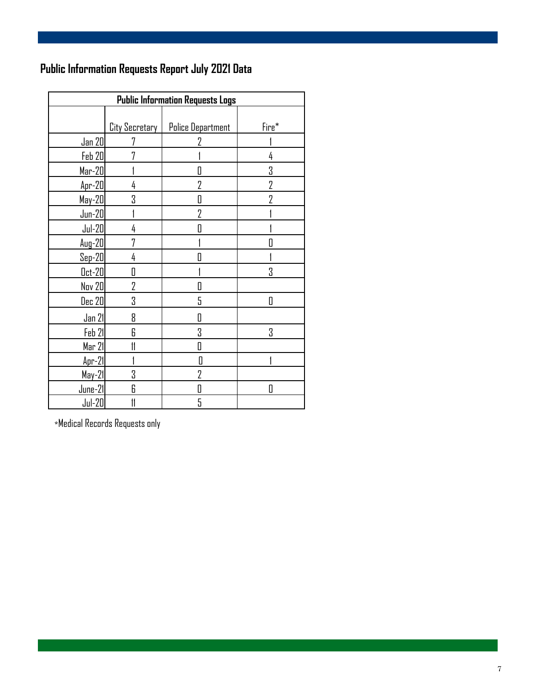### **Public Information Requests Report July 2021 Data**

| <b>Public Information Requests Logs</b> |                       |                          |       |  |  |  |  |
|-----------------------------------------|-----------------------|--------------------------|-------|--|--|--|--|
|                                         |                       |                          |       |  |  |  |  |
|                                         | <b>City Secretary</b> | <b>Police Department</b> | Fire* |  |  |  |  |
| Jan 20                                  | 7                     | 7                        |       |  |  |  |  |
| <b>Feb 20</b>                           | 7                     |                          | 4     |  |  |  |  |
| $Mar-20$                                |                       | O                        | 3     |  |  |  |  |
| Apr-20                                  | 4                     | $\overline{2}$           | 2     |  |  |  |  |
| May-20                                  | 3                     | 0                        | 7     |  |  |  |  |
| $Jun-20$                                |                       | $\overline{2}$           |       |  |  |  |  |
| $Jul-20$                                | 4                     | 0                        |       |  |  |  |  |
| $Aug-20$                                | 7                     |                          |       |  |  |  |  |
| $Sep-20$                                | 4                     | П                        |       |  |  |  |  |
| $0ct-20$                                | 0                     |                          | 3     |  |  |  |  |
| Nov 20                                  | 2                     | 0                        |       |  |  |  |  |
| <b>Dec 20</b>                           | 3                     | 5                        | Π     |  |  |  |  |
| Jan 21                                  | 8                     | O                        |       |  |  |  |  |
| Feb 21                                  | 6                     | 3                        | 3     |  |  |  |  |
| Mar 21                                  | 11                    | 0                        |       |  |  |  |  |
| $Apr-21$                                |                       | Π                        |       |  |  |  |  |
| $May-21$                                | 3                     | $\overline{2}$           |       |  |  |  |  |
| June-21                                 | 6                     | 0                        | П     |  |  |  |  |
| $Jul-20$                                |                       | 5                        |       |  |  |  |  |

\*Medical Records Requests only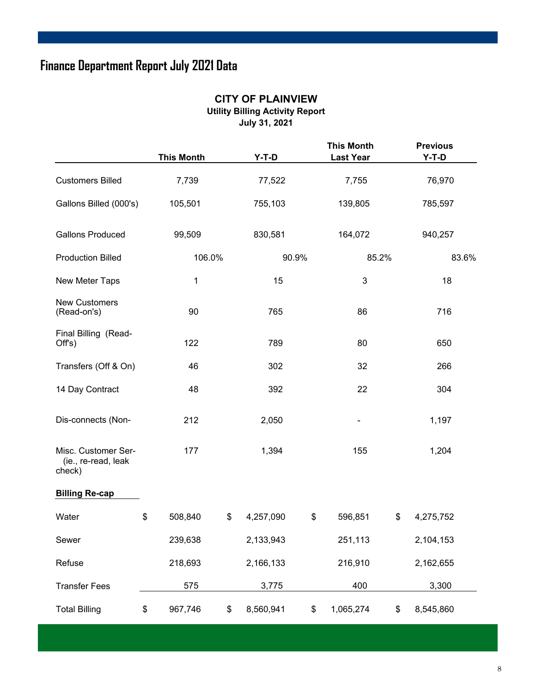### **Finance Department Report July 2021 Data**

#### **CITY OF PLAINVIEW Utility Billing Activity Report**

**July 31, 2021** 

|                                                      | <b>This Month</b> | $Y-T-D$         |       | <b>This Month</b><br><b>Last Year</b> |    | <b>Previous</b><br>$Y-T-D$ |  |     |
|------------------------------------------------------|-------------------|-----------------|-------|---------------------------------------|----|----------------------------|--|-----|
| <b>Customers Billed</b>                              | 7,739             | 77,522          |       | 7,755                                 |    | 76,970                     |  |     |
| Gallons Billed (000's)                               | 105,501           | 755,103         |       | 139,805                               |    | 785,597                    |  |     |
| <b>Gallons Produced</b>                              | 99,509            | 830,581         |       | 164,072                               |    | 940,257                    |  |     |
| <b>Production Billed</b>                             | 106.0%            |                 | 90.9% | 85.2%                                 |    | 83.6%                      |  |     |
| New Meter Taps                                       | $\mathbf{1}$      | 15              |       | $\mathbf{3}$                          |    | 18                         |  |     |
| <b>New Customers</b><br>(Read-on's)                  | 90                | 765             |       | 86                                    |    | 716                        |  |     |
| Final Billing (Read-<br>Offs)                        | 122               | 789             |       | 80                                    |    |                            |  | 650 |
| Transfers (Off & On)                                 | 46                | 302             |       | 32                                    |    | 266                        |  |     |
| 14 Day Contract                                      | 48                | 392             |       | 22                                    |    | 304                        |  |     |
| Dis-connects (Non-                                   | 212               | 2,050           |       |                                       |    | 1,197                      |  |     |
| Misc. Customer Ser-<br>(ie., re-read, leak<br>check) | 177               | 1,394           |       | 155                                   |    | 1,204                      |  |     |
| <b>Billing Re-cap</b>                                |                   |                 |       |                                       |    |                            |  |     |
| Water                                                | \$<br>508,840     | \$<br>4,257,090 | \$    | 596,851                               | \$ | 4,275,752                  |  |     |
| Sewer                                                | 239,638           | 2,133,943       |       | 251,113                               |    | 2,104,153                  |  |     |
| Refuse                                               | 218,693           | 2,166,133       |       | 216,910                               |    | 2,162,655                  |  |     |
| <b>Transfer Fees</b>                                 | 575               | 3,775           |       | 400                                   |    | 3,300                      |  |     |
| <b>Total Billing</b>                                 | \$<br>967,746     | \$<br>8,560,941 | \$    | 1,065,274                             | \$ | 8,545,860                  |  |     |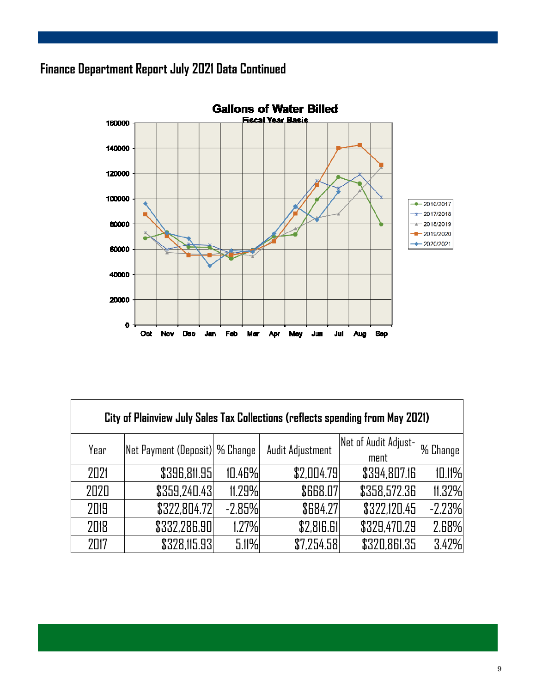### **Finance Department Report July 2021 Data Continued**



| City of Plainview July Sales Tax Collections (reflects spending from May 2021) |                                       |          |                  |                      |            |  |  |  |  |  |
|--------------------------------------------------------------------------------|---------------------------------------|----------|------------------|----------------------|------------|--|--|--|--|--|
| Year                                                                           | <b>Net Payment (Deposit) % Change</b> |          | Audit Adjustment | Net of Audit Adjust- | 1 % Change |  |  |  |  |  |
|                                                                                |                                       |          |                  | ment                 |            |  |  |  |  |  |
| 2021                                                                           | \$396,811.95                          | 10.46%   | \$2,004.79       | \$394,807.16         | 10.11%     |  |  |  |  |  |
| 2020                                                                           | \$359,240.43                          | 11.29%   | <b>\$668.07</b>  | \$358,572.36         | 11.32%     |  |  |  |  |  |
| 2019                                                                           | \$322,804.72                          | $-2.85%$ | \$684.27         | \$322,120.45         | $-2.23%$   |  |  |  |  |  |
| 2018                                                                           | \$332,286.90                          | 1.27%    | \$2,816.61       | \$329,470.29         | 2.68%      |  |  |  |  |  |
| 2017                                                                           | \$328,115.93                          | 5.11%    | \$7,254.58       | \$320,861.35         | 3.42%      |  |  |  |  |  |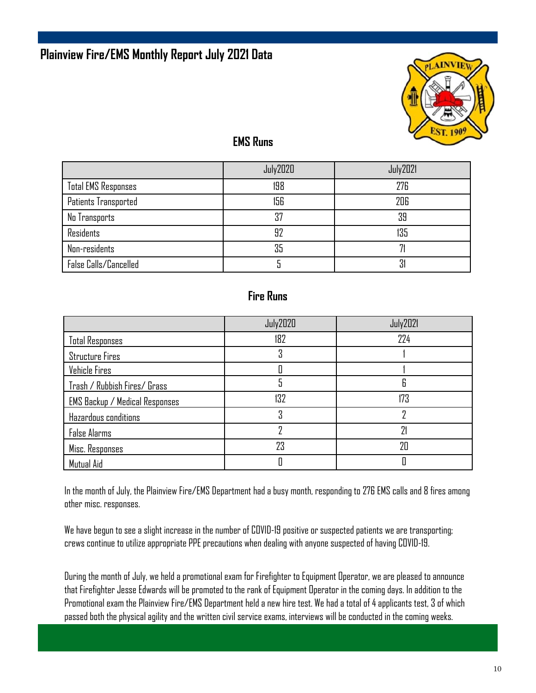

### **EMS Runs**

|                            | <b>July2020</b> | <b>July2021</b> |
|----------------------------|-----------------|-----------------|
| <b>Total EMS Responses</b> | 198             | 276             |
| Patients Transported       | 156             | 206             |
| No Transports              | 37              | 39              |
| <b>Residents</b>           | 92              | 135             |
| Non-residents              | 35              |                 |
| False Calls/Cancelled      |                 | 31              |

#### **Fire Runs**

|                                | <b>July2020</b> | July2021 |
|--------------------------------|-----------------|----------|
| <b>Total Responses</b>         | 182             | 224      |
| <b>Structure Fires</b>         | 3               |          |
| Vehicle Fires                  |                 |          |
| Trash / Rubbish Fires/ Grass   |                 | 6        |
| EMS Backup / Medical Responses | 132             | 173      |
| Hazardous conditions           | Χ               |          |
| <b>False Alarms</b>            |                 | 21       |
| Misc. Responses                | 23              | 20       |
| Mutual Aid                     |                 |          |

In the month of July, the Plainview Fire/EMS Department had a busy month, responding to 276 EMS calls and 8 fires among other misc. responses.

We have begun to see a slight increase in the number of COVID-19 positive or suspected patients we are transporting; crews continue to utilize appropriate PPE precautions when dealing with anyone suspected of having COVID-19.

During the month of July, we held a promotional exam for Firefighter to Equipment Operator, we are pleased to announce that Firefighter Jesse Edwards will be promoted to the rank of Equipment Operator in the coming days. In addition to the Promotional exam the Plainview Fire/EMS Department held a new hire test. We had a total of 4 applicants test, 3 of which passed both the physical agility and the written civil service exams, interviews will be conducted in the coming weeks.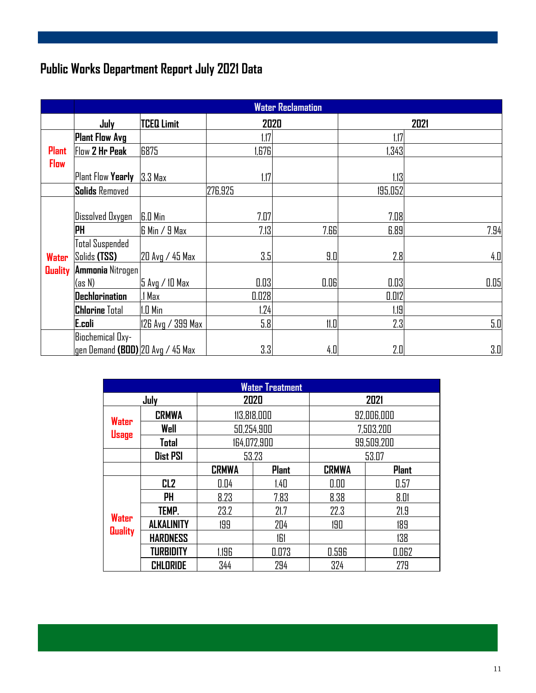### **Public Works Department Report July 2021 Data**

|                | <b>Water Reclamation</b>         |                   |         |      |         |      |
|----------------|----------------------------------|-------------------|---------|------|---------|------|
|                | July                             | <b>TCEQ Limit</b> | 2020    |      |         | 2021 |
|                | Plant Flow Avg                   |                   | 1.17    |      | 1.17    |      |
| <b>Plant</b>   | Flow 2 Hr Peak                   | 6875              | 1,676   |      | 1,343   |      |
| <b>Flow</b>    |                                  |                   |         |      |         |      |
|                | Plant Flow Yearly                | 3.3 Max           | 1.17    |      | 1.13    |      |
|                | <b>Solids Removed</b>            |                   | 276,925 |      | 195,052 |      |
|                |                                  |                   |         |      |         |      |
|                | Dissolved Oxygen                 | <b>G.O</b> Min    | 7.07    |      | 7.08    |      |
|                | PH                               | $6$ Min $/9$ Max  | 7.13    | 7.66 | 6.89    | 7.94 |
|                | <b>Total Suspended</b>           |                   |         |      |         |      |
| Water          | Solids (TSS)                     | 20 Avg / 45 Max   | 3.5     | 9.0  | 2.8     | 4.0  |
| <b>Quality</b> | <b>Ammonia Nitrogen</b>          |                   |         |      |         |      |
|                | (as N)                           | 5 Avg / 10 Max    | 0.03    | 0.06 | 0.03    | 0.05 |
|                | <b>Dechlorination</b>            | .1 Max            | 0.028   |      | 0.012   |      |
|                | <b>Chlorine Total</b>            | 1.0 Min           | 1.24    |      | 1.19    |      |
|                | E.coli                           | 126 Avg / 399 Max | 5.8     | 11.0 | 2.3     | 5.0  |
|                | Biochemical Oxy-                 |                   |         |      |         |      |
|                | gen Demand (BOD) 20 Avg / 45 Max |                   | 3.3     | 4.0  | 2.0     | 3.0  |

| <b>Water Treatment</b>         |                   |              |              |              |              |
|--------------------------------|-------------------|--------------|--------------|--------------|--------------|
|                                | July              | 2020         |              | 2021         |              |
|                                | <b>CRMWA</b>      | 113,818,000  |              | 92,006,000   |              |
| Water                          | Well              | 50,254,900   |              | 7,503,200    |              |
| Usage                          | Total             | 164,072,900  |              | 99,509,200   |              |
|                                | <b>Dist PSI</b>   | 53.23        |              | 53.07        |              |
|                                |                   | <b>CRMWA</b> | <b>Plant</b> | <b>CRMWA</b> | <b>Plant</b> |
|                                | CL <sub>2</sub>   | 0.04         | 1.40         | 0.00         | 0.57         |
|                                | <b>PH</b>         | 8.23         | 7.83         | 8.38         | 8.01         |
|                                | TEMP.             | 23.2         | 21.7         | 22.3         | 21.9         |
| <b>Water</b><br><b>Quality</b> | <b>ALKALINITY</b> | 199          | 204          | 190          | 189          |
|                                | <b>HARDNESS</b>   |              | 161          |              | 138          |
|                                | <b>TURBIDITY</b>  | 1.196        | 0.073        | 0.596        | 0.062        |
|                                | <b>CHLORIDE</b>   | 344          | 294          | 324          | 279          |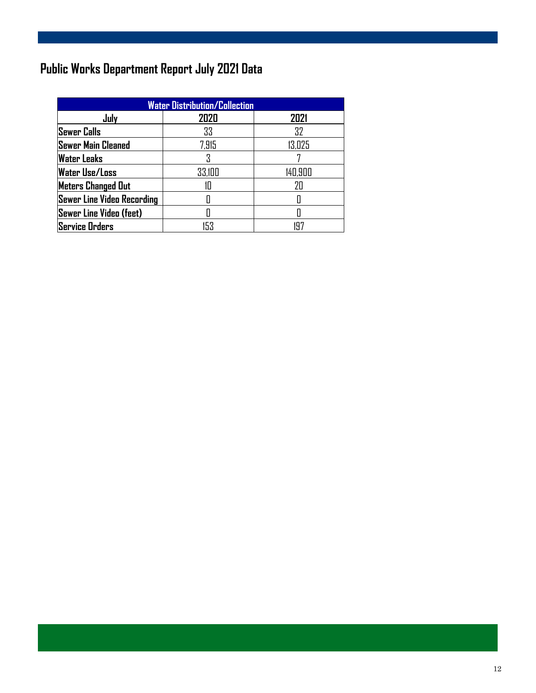### **Public Works Department Report July 2021 Data**

| <b>Water Distribution/Collection</b> |        |         |  |  |
|--------------------------------------|--------|---------|--|--|
| July                                 | 2020   | 2021    |  |  |
| <b>Sewer Calls</b>                   | 33     | 32      |  |  |
| <b>Sewer Main Cleaned</b>            | 7,915  | 13,025  |  |  |
| <b>Water Leaks</b>                   |        |         |  |  |
| <b>Water Use/Loss</b>                | 33,100 | 140,900 |  |  |
| <b>Meters Changed Out</b>            | IП     | 7Π      |  |  |
| <b>Sewer Line Video Recording</b>    |        |         |  |  |
| <b>Sewer Line Video (feet)</b>       |        |         |  |  |
| <b>Service Orders</b>                | 153    |         |  |  |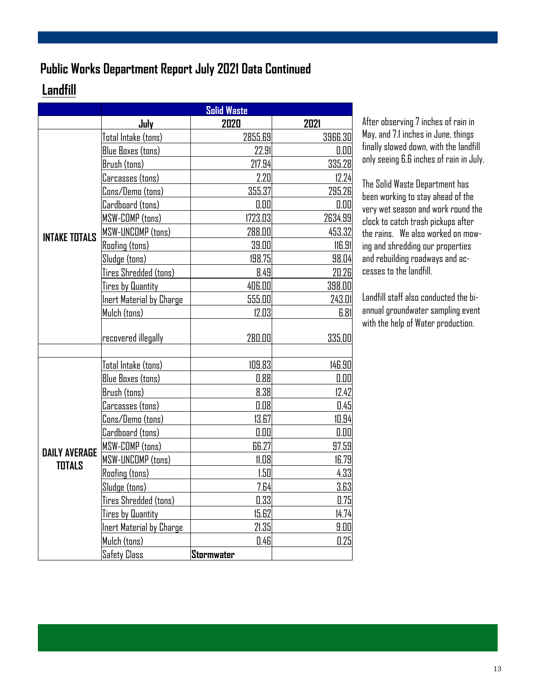### **Public Works Department Report July 2021 Data Continued**

### **Landfill**

|                      | <b>Solid Waste</b>       |            |         |
|----------------------|--------------------------|------------|---------|
|                      | July                     | 2020       | 2021    |
|                      | Total Intake (tons)      | 2855.69    | 3966.30 |
|                      | Blue Boxes (tons)        | 22.91      | 0.00    |
|                      | Brush (tons)             | 217.94     | 335.28  |
|                      | Carcasses (tons)         | 2.20       | 12.24   |
|                      | Cons/Demo (tons)         | 355.37     | 295.26  |
|                      | Cardboard (tons)         | 0.00       | 0.00    |
|                      | MSW-COMP (tons)          | 1723.03    | 2634.99 |
| <b>INTAKE TOTALS</b> | MSW-UNCOMP (tons)        | 288.00     | 453.32  |
|                      | Roofing (tons)           | 39.00      | 116.91  |
|                      | Sludge (tons)            | 198.75     | 98.04   |
|                      | Tires Shredded (tons)    | 8.49       | 20.26   |
|                      | Tires by <b>Quantity</b> | 406.00     | 398.00  |
|                      | Inert Material by Charge | 555.00     | 243.01  |
|                      | Mulch (tons)             | 12.03      | 6.81    |
|                      |                          |            |         |
|                      | recovered illegally      | 280.00     | 335.00  |
|                      |                          |            |         |
|                      | Total Intake (tons)      | 109.83     | 146.90  |
|                      | <b>Blue Boxes (tons)</b> | 0.88       | 0.00    |
|                      | Brush (tons)             | 8.38       | 12.42   |
|                      | Carcasses (tons)         | 0.08       | 0.45    |
|                      | Cons/Demo (tons)         | 13.67      | 10.94   |
|                      | Cardboard (tons)         | 0.00       | 0.00    |
| <b>DAILY AVERAGE</b> | MSW-COMP (tons)          | 66.27      | 97.59   |
| <b>TOTALS</b>        | MSW-UNCOMP (tons)        | 11.08      | 16.79   |
|                      | <b>Roofing (tons)</b>    | 1.50       | 4.33    |
|                      | Sludge (tons)            | 7.64       | 3.63    |
|                      | Tires Shredded (tons)    | 0.33       | 0.75    |
|                      | Tires by Quantity        | 15.62      | 14.74   |
|                      | Inert Material by Charge | 21.35      | 9.00    |
|                      | Mulch (tons)             | 0.46       | 0.25    |
|                      | <b>Safety Class</b>      | Stormwater |         |

After observing 7 inches of rain in May, and 7.1 inches in June, things finally slowed down, with the landfill only seeing 6.6 inches of rain in July.

The Solid Waste Department has been working to stay ahead of the very wet season and work round the clock to catch trash pickups after the rains. We also worked on mowing and shredding our properties and rebuilding roadways and accesses to the landfill.

Landfill staff also conducted the biannual groundwater sampling event with the help of Water production.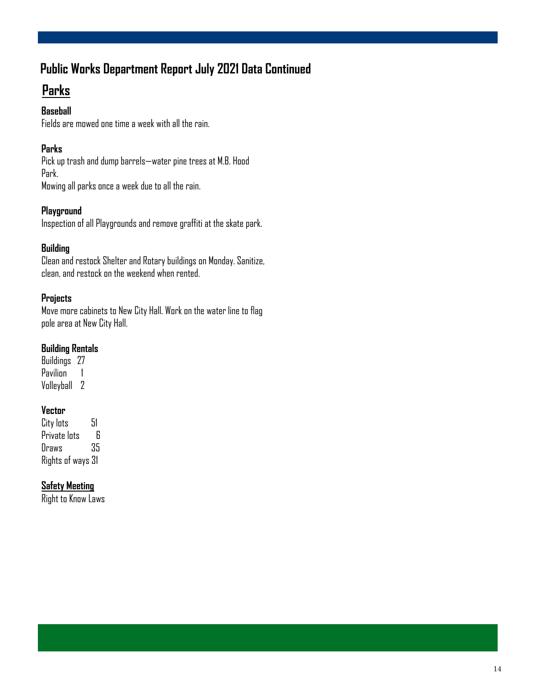### **Public Works Department Report July 2021 Data Continued**

### **Parks**

#### **Baseball**

Fields are mowed one time a week with all the rain.

#### **Parks**

Pick up trash and dump barrels—water pine trees at M.B. Hood Park. Mowing all parks once a week due to all the rain.

**Playground** 

Inspection of all Playgrounds and remove graffiti at the skate park.

#### **Building**

Clean and restock Shelter and Rotary buildings on Monday. Sanitize, clean, and restock on the weekend when rented.

#### **Projects**

Move more cabinets to New City Hall. Work on the water line to flag pole area at New City Hall.

#### **Building Rentals**

Buildings 27 Pavilion 1 Volleyball 2

#### **Vector**

City lots 51 Private lots 6 Draws 35 Rights of ways 31

#### **Safety Meeting**

Right to Know Laws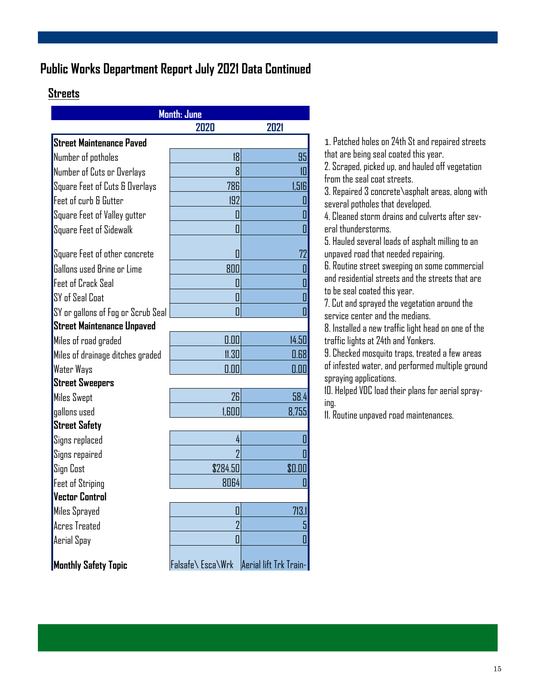### **Public Works Department Report July 2021 Data Continued**

#### **Streets**

| Month: June                        |                  |                        |  |
|------------------------------------|------------------|------------------------|--|
|                                    | 2020             | 2021                   |  |
| <b>Street Maintenance Paved</b>    |                  |                        |  |
| Number of potholes                 | 18               | 95                     |  |
| Number of Cuts or Overlays         | 8                | 10                     |  |
| Square Feet of Cuts & Overlays     | 786              | 1,516                  |  |
| Feet of curb & Gutter              | 192              |                        |  |
| Square Feet of Valley gutter       | O                |                        |  |
| <b>Square Feet of Sidewalk</b>     | 0                |                        |  |
|                                    |                  |                        |  |
| Square Feet of other concrete      | 0                | 72                     |  |
| Gallons used Brine or Lime         | 800              |                        |  |
| <b>Feet of Crack Seal</b>          | 0                |                        |  |
| SY of Seal Coat                    | 0                |                        |  |
| SY or gallons of Fog or Scrub Seal | Π                |                        |  |
| <b>Street Maintenance Unpaved</b>  |                  |                        |  |
| Miles of road graded               | 0.00             | 14.50                  |  |
| Miles of drainage ditches graded   | 11.30            | 0.68                   |  |
| Water Ways                         | 0.00             | 0.00                   |  |
| <b>Street Sweepers</b>             |                  |                        |  |
| <b>Miles Swept</b>                 | 26               | 58.4                   |  |
| gallons used                       | 1.600            | 8,755                  |  |
| <b>Street Safety</b>               |                  |                        |  |
| Signs replaced                     | 4                |                        |  |
| Signs repaired                     |                  |                        |  |
| Sign Cost                          | \$284.50         | \$0.OO                 |  |
| <b>Feet of Striping</b>            | 8064             |                        |  |
| <b>Vector Control</b>              |                  |                        |  |
| Miles Sprayed                      | 0                | 713.                   |  |
| <b>Acres Treated</b>               | $\overline{2}$   | 5                      |  |
| Aerial Spay                        | 0                |                        |  |
| <b>Monthly Safety Topic</b>        | Falsafe\Esca\Wrk | Aerial lift Trk Train- |  |

1. Patched holes on 24th St and repaired streets that are being seal coated this year.

2. Scraped, picked up, and hauled off vegetation from the seal coat streets.

3. Repaired 3 concrete\asphalt areas, along with several potholes that developed.

4. Cleaned storm drains and culverts after several thunderstorms.

5. Hauled several loads of asphalt milling to an unpaved road that needed repairing.

6. Routine street sweeping on some commercial and residential streets and the streets that are to be seal coated this year.

7. Cut and sprayed the vegetation around the service center and the medians.

8. Installed a new traffic light head on one of the traffic lights at 24th and Yonkers.

9. Checked mosquito traps, treated a few areas of infested water, and performed multiple ground spraying applications.

10. Helped VDC load their plans for aerial spraying.

11. Routine unpaved road maintenances.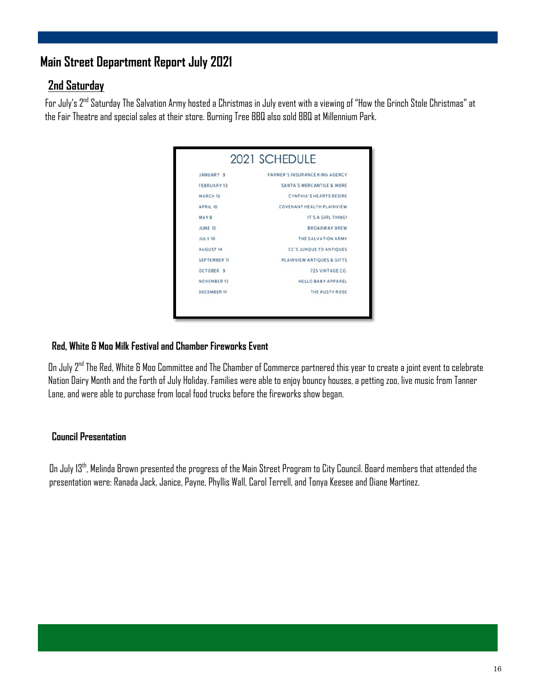### **Main Street Department Report July 2021**

#### **2nd Saturday**

For July's 2nd Saturday The Salvation Army hosted a Christmas in July event with a viewing of "How the Grinch Stole Christmas" at the Fair Theatre and special sales at their store. Burning Tree BBQ also sold BBQ at Millennium Park.

| JANUARY 9           | <b>FARMER'S INSURANCE KING AGENCY</b> |
|---------------------|---------------------------------------|
| <b>FEBRUARY 13</b>  | SANTA'S MERCANTILE & MORE             |
| MARCH <sub>13</sub> | <b>CYNTHIA'S HEARTS DESIRE</b>        |
| <b>APRIL 10</b>     | COVENANT HEALTH PLAINVIEW             |
| MAY8                | IT'S A GIRL THING!                    |
| <b>JUNE 12</b>      | <b>BROADWAY BREW</b>                  |
| <b>JULY 10</b>      | THE SALVATION ARMY                    |
| <b>AUGUST 14</b>    | <b>CC'S JUNOUE TO ANTIQUES</b>        |
| <b>SEPTEMBER 11</b> | PLAINVIEW ANTIQUES & GIFTS            |
| OCTOBER 9           | 725 VINTAGE CO.                       |
| <b>NOVEMBER 13</b>  | <b>HELLO BABY APPAREL</b>             |
| <b>DECEMBER 11</b>  | THE RUSTY ROSE                        |

#### **Red, White & Moo Milk Festival and Chamber Fireworks Event**

On July 2<sup>nd</sup> The Red, White & Moo Committee and The Chamber of Commerce partnered this year to create a joint event to celebrate Nation Dairy Month and the Forth of July Holiday. Families were able to enjoy bouncy houses, a petting zoo, live music from Tanner Lane, and were able to purchase from local food trucks before the fireworks show began.

#### **Council Presentation**

On July 13th, Melinda Brown presented the progress of the Main Street Program to City Council. Board members that attended the presentation were: Ranada Jack, Janice, Payne, Phyllis Wall, Carol Terrell, and Tonya Keesee and Diane Martinez.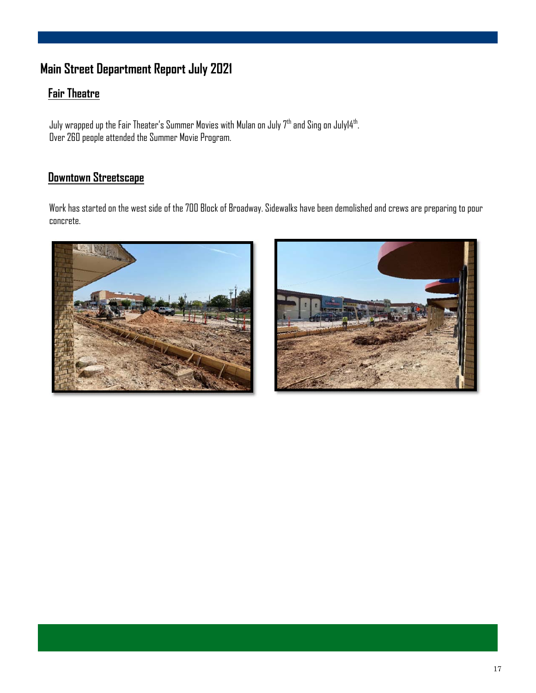### **Main Street Department Report July 2021**

#### **Fair Theatre**

July wrapped up the Fair Theater's Summer Movies with Mulan on July  $7^{\rm th}$  and Sing on July14 $^{\rm th}$ . Over 260 people attended the Summer Movie Program.

### **Downtown Streetscape**

Work has started on the west side of the 700 Block of Broadway. Sidewalks have been demolished and crews are preparing to pour concrete.



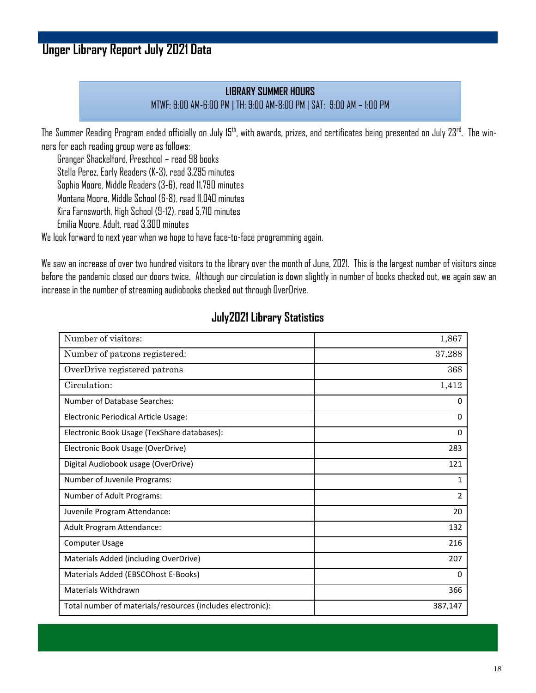### **Unger Library Report July 2021 Data**

#### **LIBRARY SUMMER HOURS** MTWF: 9:00 AM-6:00 PM | TH: 9:00 AM-8:00 PM | SAT: 9:00 AM – 1:00 PM

The Summer Reading Program ended officially on July 15<sup>th</sup>, with awards, prizes, and certificates being presented on July 23<sup>rd</sup>. The winners for each reading group were as follows:

Granger Shackelford, Preschool – read 98 books

Stella Perez, Early Readers (K-3), read 3,295 minutes

Sophia Moore, Middle Readers (3-6), read 11,790 minutes

Montana Moore, Middle School (6-8), read 11,040 minutes

Kira Farnsworth, High School (9-12), read 5,710 minutes

Emilia Moore, Adult, read 3,300 minutes

We look forward to next year when we hope to have face-to-face programming again.

We saw an increase of over two hundred visitors to the library over the month of June, 2021. This is the largest number of visitors since before the pandemic closed our doors twice. Although our circulation is down slightly in number of books checked out, we again saw an increase in the number of streaming audiobooks checked out through OverDrive.

#### **July2021 Library Statistics**

| Number of visitors:                                        | 1,867          |
|------------------------------------------------------------|----------------|
| Number of patrons registered:                              | 37,288         |
| OverDrive registered patrons                               | 368            |
| Circulation:                                               | 1,412          |
| Number of Database Searches:                               | 0              |
| Electronic Periodical Article Usage:                       | 0              |
| Electronic Book Usage (TexShare databases):                | 0              |
| Electronic Book Usage (OverDrive)                          | 283            |
| Digital Audiobook usage (OverDrive)                        | 121            |
| Number of Juvenile Programs:                               | 1              |
| Number of Adult Programs:                                  | $\overline{2}$ |
| Juvenile Program Attendance:                               | 20             |
| Adult Program Attendance:                                  | 132            |
| <b>Computer Usage</b>                                      | 216            |
| Materials Added (including OverDrive)                      | 207            |
| Materials Added (EBSCOhost E-Books)                        | $\mathbf{0}$   |
| <b>Materials Withdrawn</b>                                 | 366            |
| Total number of materials/resources (includes electronic): | 387,147        |